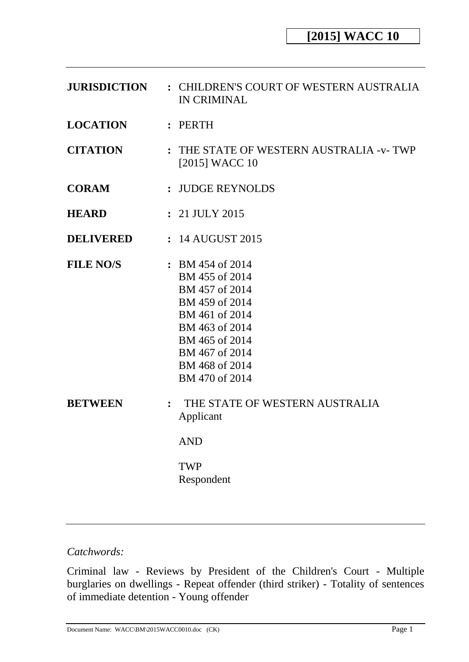| <b>JURISDICTION</b> | : CHILDREN'S COURT OF WESTERN AUSTRALIA<br><b>IN CRIMINAL</b>                                                                                                                           |  |  |
|---------------------|-----------------------------------------------------------------------------------------------------------------------------------------------------------------------------------------|--|--|
| <b>LOCATION</b>     | : PERTH                                                                                                                                                                                 |  |  |
| <b>CITATION</b>     | : THE STATE OF WESTERN AUSTRALIA -v-TWP<br>[2015] WACC 10                                                                                                                               |  |  |
| <b>CORAM</b>        | : JUDGE REYNOLDS                                                                                                                                                                        |  |  |
| <b>HEARD</b>        | : 21 JULY 2015                                                                                                                                                                          |  |  |
| <b>DELIVERED</b>    | : 14 AUGUST 2015                                                                                                                                                                        |  |  |
| <b>FILE NO/S</b>    | $\div$ BM 454 of 2014<br>BM 455 of 2014<br>BM 457 of 2014<br>BM 459 of 2014<br>BM 461 of 2014<br>BM 463 of 2014<br>BM 465 of 2014<br>BM 467 of 2014<br>BM 468 of 2014<br>BM 470 of 2014 |  |  |
| <b>BETWEEN</b>      | THE STATE OF WESTERN AUSTRALIA<br>$\ddot{\cdot}$<br>Applicant<br><b>AND</b><br><b>TWP</b><br>Respondent                                                                                 |  |  |

# *Catchwords:*

Criminal law - Reviews by President of the Children's Court - Multiple burglaries on dwellings - Repeat offender (third striker) - Totality of sentences of immediate detention - Young offender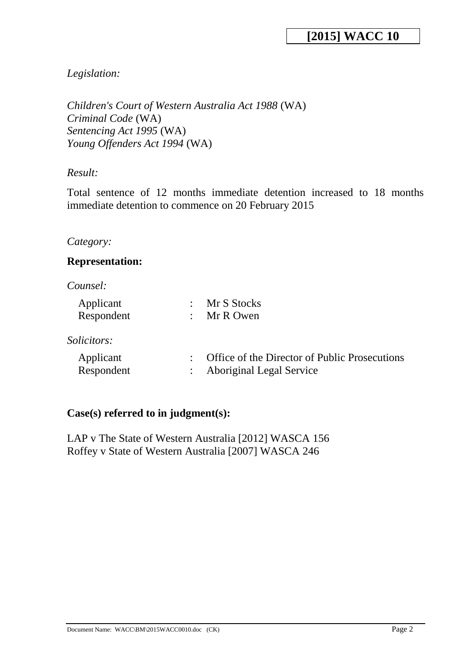# *Legislation:*

```
Children's Court of Western Australia Act 1988 (WA)
Criminal Code (WA)
Sentencing Act 1995 (WA)
Young Offenders Act 1994 (WA)
```
## *Result:*

Total sentence of 12 months immediate detention increased to 18 months immediate detention to commence on 20 February 2015

## *Category:*

## **Representation:**

### *Counsel:*

| Mr S Stocks<br>Mr R Owen                                                         |
|----------------------------------------------------------------------------------|
|                                                                                  |
| Office of the Director of Public Prosecutions<br><b>Aboriginal Legal Service</b> |
|                                                                                  |

## **Case(s) referred to in judgment(s):**

LAP v The State of Western Australia [2012] WASCA 156 Roffey v State of Western Australia [2007] WASCA 246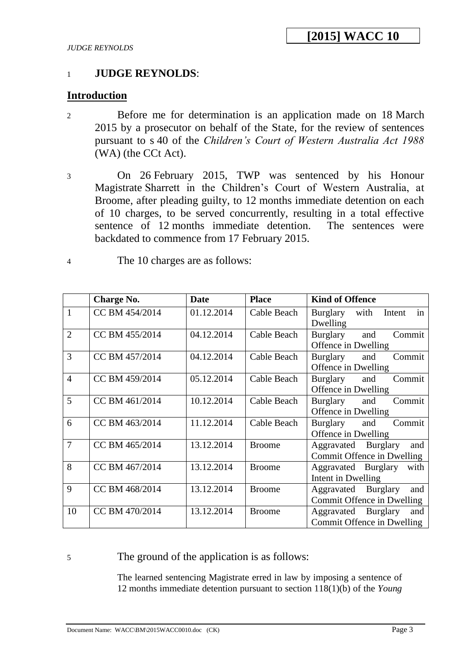## 1 **JUDGE REYNOLDS**:

## **Introduction**

- 2 Before me for determination is an application made on 18 March 2015 by a prosecutor on behalf of the State, for the review of sentences pursuant to s 40 of the *Children's Court of Western Australia Act 1988*  (WA) (the CCt Act).
- 3 On 26 February 2015, TWP was sentenced by his Honour Magistrate Sharrett in the Children's Court of Western Australia, at Broome, after pleading guilty, to 12 months immediate detention on each of 10 charges, to be served concurrently, resulting in a total effective sentence of 12 months immediate detention. The sentences were backdated to commence from 17 February 2015.
- 4 The 10 charges are as follows:

|                | <b>Charge No.</b> | <b>Date</b> | <b>Place</b>  | <b>Kind of Offence</b>           |
|----------------|-------------------|-------------|---------------|----------------------------------|
| $\mathbf{1}$   | CC BM 454/2014    | 01.12.2014  | Cable Beach   | in<br>with<br>Burglary<br>Intent |
|                |                   |             |               | Dwelling                         |
| $\overline{2}$ | CC BM 455/2014    | 04.12.2014  | Cable Beach   | Commit<br>Burglary<br>and        |
|                |                   |             |               | Offence in Dwelling              |
| 3              | CC BM 457/2014    | 04.12.2014  | Cable Beach   | Commit<br>Burglary<br>and        |
|                |                   |             |               | Offence in Dwelling              |
| $\overline{4}$ | CC BM 459/2014    | 05.12.2014  | Cable Beach   | Commit<br>Burglary<br>and        |
|                |                   |             |               | Offence in Dwelling              |
| 5              | CC BM 461/2014    | 10.12.2014  | Cable Beach   | Commit<br>and<br>Burglary        |
|                |                   |             |               | Offence in Dwelling              |
| 6              | CC BM 463/2014    | 11.12.2014  | Cable Beach   | Burglary<br>Commit<br>and        |
|                |                   |             |               | Offence in Dwelling              |
| $\overline{7}$ | CC BM 465/2014    | 13.12.2014  | <b>Broome</b> | Aggravated Burglary<br>and       |
|                |                   |             |               | Commit Offence in Dwelling       |
| 8              | CC BM 467/2014    | 13.12.2014  | <b>Broome</b> | Aggravated Burglary<br>with      |
|                |                   |             |               | Intent in Dwelling               |
| 9              | CC BM 468/2014    | 13.12.2014  | <b>Broome</b> | Aggravated Burglary<br>and       |
|                |                   |             |               | Commit Offence in Dwelling       |
| 10             | CC BM 470/2014    | 13.12.2014  | <b>Broome</b> | Aggravated Burglary<br>and       |
|                |                   |             |               | Commit Offence in Dwelling       |

5 The ground of the application is as follows:

The learned sentencing Magistrate erred in law by imposing a sentence of 12 months immediate detention pursuant to section 118(1)(b) of the *Young*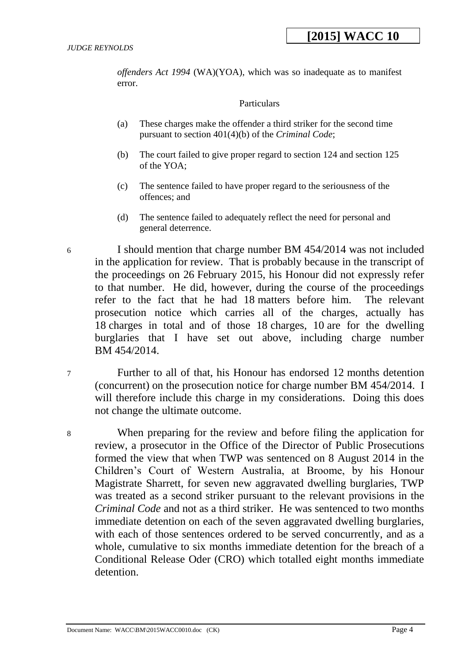*offenders Act 1994* (WA)(YOA), which was so inadequate as to manifest error.

#### **Particulars**

- (a) These charges make the offender a third striker for the second time pursuant to section 401(4)(b) of the *Criminal Code*;
- (b) The court failed to give proper regard to section 124 and section 125 of the YOA;
- (c) The sentence failed to have proper regard to the seriousness of the offences; and
- (d) The sentence failed to adequately reflect the need for personal and general deterrence.

6 I should mention that charge number BM 454/2014 was not included in the application for review. That is probably because in the transcript of the proceedings on 26 February 2015, his Honour did not expressly refer to that number. He did, however, during the course of the proceedings refer to the fact that he had 18 matters before him. The relevant prosecution notice which carries all of the charges, actually has 18 charges in total and of those 18 charges, 10 are for the dwelling burglaries that I have set out above, including charge number BM 454/2014.

7 Further to all of that, his Honour has endorsed 12 months detention (concurrent) on the prosecution notice for charge number BM 454/2014. I will therefore include this charge in my considerations. Doing this does not change the ultimate outcome.

8 When preparing for the review and before filing the application for review, a prosecutor in the Office of the Director of Public Prosecutions formed the view that when TWP was sentenced on 8 August 2014 in the Children's Court of Western Australia, at Broome, by his Honour Magistrate Sharrett, for seven new aggravated dwelling burglaries, TWP was treated as a second striker pursuant to the relevant provisions in the *Criminal Code* and not as a third striker. He was sentenced to two months immediate detention on each of the seven aggravated dwelling burglaries, with each of those sentences ordered to be served concurrently, and as a whole, cumulative to six months immediate detention for the breach of a Conditional Release Oder (CRO) which totalled eight months immediate detention.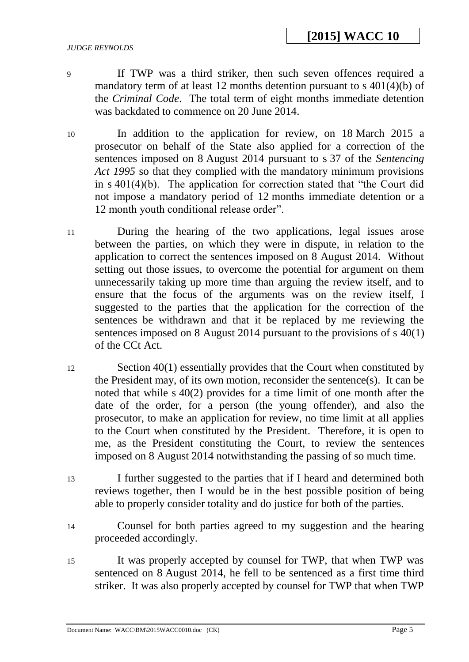9 If TWP was a third striker, then such seven offences required a mandatory term of at least 12 months detention pursuant to s 401(4)(b) of the *Criminal Code*. The total term of eight months immediate detention was backdated to commence on 20 June 2014.

- 10 In addition to the application for review, on 18 March 2015 a prosecutor on behalf of the State also applied for a correction of the sentences imposed on 8 August 2014 pursuant to s 37 of the *Sentencing Act 1995* so that they complied with the mandatory minimum provisions in s 401(4)(b). The application for correction stated that "the Court did not impose a mandatory period of 12 months immediate detention or a 12 month youth conditional release order".
- 11 During the hearing of the two applications, legal issues arose between the parties, on which they were in dispute, in relation to the application to correct the sentences imposed on 8 August 2014. Without setting out those issues, to overcome the potential for argument on them unnecessarily taking up more time than arguing the review itself, and to ensure that the focus of the arguments was on the review itself, I suggested to the parties that the application for the correction of the sentences be withdrawn and that it be replaced by me reviewing the sentences imposed on 8 August 2014 pursuant to the provisions of s 40(1) of the CCt Act.
- 12 Section 40(1) essentially provides that the Court when constituted by the President may, of its own motion, reconsider the sentence(s). It can be noted that while s 40(2) provides for a time limit of one month after the date of the order, for a person (the young offender), and also the prosecutor, to make an application for review, no time limit at all applies to the Court when constituted by the President. Therefore, it is open to me, as the President constituting the Court, to review the sentences imposed on 8 August 2014 notwithstanding the passing of so much time.
- 13 I further suggested to the parties that if I heard and determined both reviews together, then I would be in the best possible position of being able to properly consider totality and do justice for both of the parties.
- 14 Counsel for both parties agreed to my suggestion and the hearing proceeded accordingly.
- 15 It was properly accepted by counsel for TWP, that when TWP was sentenced on 8 August 2014, he fell to be sentenced as a first time third striker. It was also properly accepted by counsel for TWP that when TWP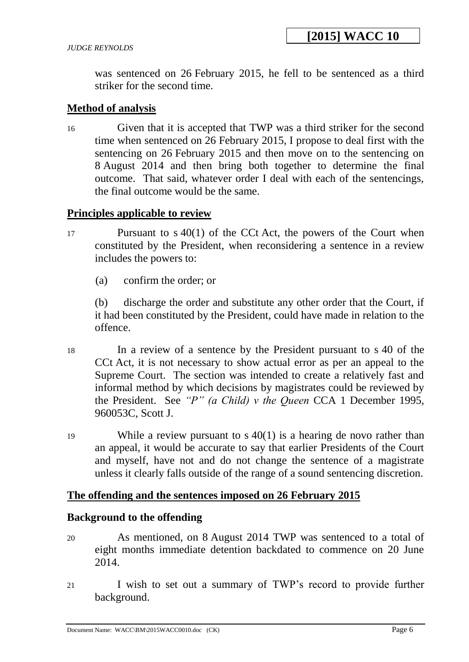was sentenced on 26 February 2015, he fell to be sentenced as a third striker for the second time.

### **Method of analysis**

16 Given that it is accepted that TWP was a third striker for the second time when sentenced on 26 February 2015, I propose to deal first with the sentencing on 26 February 2015 and then move on to the sentencing on 8 August 2014 and then bring both together to determine the final outcome. That said, whatever order I deal with each of the sentencings, the final outcome would be the same.

### **Principles applicable to review**

- 17 Pursuant to s 40(1) of the CCt Act, the powers of the Court when constituted by the President, when reconsidering a sentence in a review includes the powers to:
	- (a) confirm the order; or

(b) discharge the order and substitute any other order that the Court, if it had been constituted by the President, could have made in relation to the offence.

- 18 In a review of a sentence by the President pursuant to s 40 of the CCt Act, it is not necessary to show actual error as per an appeal to the Supreme Court. The section was intended to create a relatively fast and informal method by which decisions by magistrates could be reviewed by the President. See *"P" (a Child) v the Queen* CCA 1 December 1995, 960053C, Scott J.
- 19 While a review pursuant to s 40(1) is a hearing de novo rather than an appeal, it would be accurate to say that earlier Presidents of the Court and myself, have not and do not change the sentence of a magistrate unless it clearly falls outside of the range of a sound sentencing discretion.

## **The offending and the sentences imposed on 26 February 2015**

### **Background to the offending**

- 20 As mentioned, on 8 August 2014 TWP was sentenced to a total of eight months immediate detention backdated to commence on 20 June 2014.
- 21 I wish to set out a summary of TWP's record to provide further background.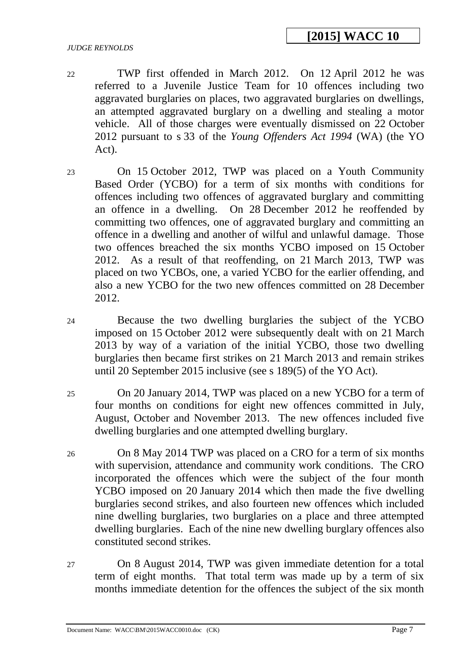#### *JUDGE REYNOLDS*

- 22 TWP first offended in March 2012. On 12 April 2012 he was referred to a Juvenile Justice Team for 10 offences including two aggravated burglaries on places, two aggravated burglaries on dwellings, an attempted aggravated burglary on a dwelling and stealing a motor vehicle. All of those charges were eventually dismissed on 22 October 2012 pursuant to s 33 of the *Young Offenders Act 1994* (WA) (the YO Act).
- 23 On 15 October 2012, TWP was placed on a Youth Community Based Order (YCBO) for a term of six months with conditions for offences including two offences of aggravated burglary and committing an offence in a dwelling. On 28 December 2012 he reoffended by committing two offences, one of aggravated burglary and committing an offence in a dwelling and another of wilful and unlawful damage. Those two offences breached the six months YCBO imposed on 15 October 2012. As a result of that reoffending, on 21 March 2013, TWP was placed on two YCBOs, one, a varied YCBO for the earlier offending, and also a new YCBO for the two new offences committed on 28 December 2012.
- 24 Because the two dwelling burglaries the subject of the YCBO imposed on 15 October 2012 were subsequently dealt with on 21 March 2013 by way of a variation of the initial YCBO, those two dwelling burglaries then became first strikes on 21 March 2013 and remain strikes until 20 September 2015 inclusive (see s 189(5) of the YO Act).
- 25 On 20 January 2014, TWP was placed on a new YCBO for a term of four months on conditions for eight new offences committed in July, August, October and November 2013. The new offences included five dwelling burglaries and one attempted dwelling burglary.
- 26 On 8 May 2014 TWP was placed on a CRO for a term of six months with supervision, attendance and community work conditions. The CRO incorporated the offences which were the subject of the four month YCBO imposed on 20 January 2014 which then made the five dwelling burglaries second strikes, and also fourteen new offences which included nine dwelling burglaries, two burglaries on a place and three attempted dwelling burglaries. Each of the nine new dwelling burglary offences also constituted second strikes.
- 27 On 8 August 2014, TWP was given immediate detention for a total term of eight months. That total term was made up by a term of six months immediate detention for the offences the subject of the six month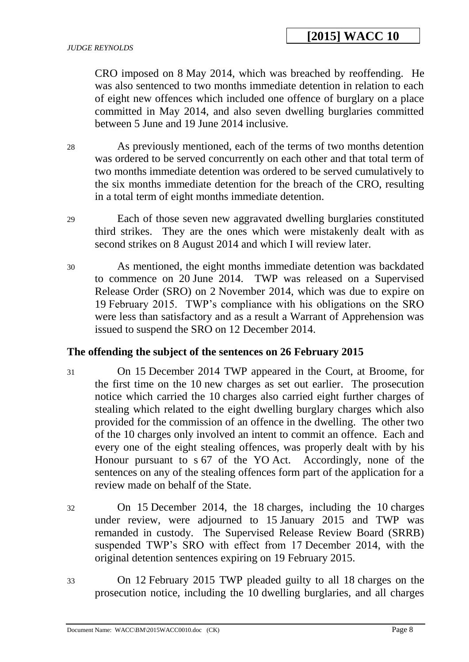CRO imposed on 8 May 2014, which was breached by reoffending. He was also sentenced to two months immediate detention in relation to each of eight new offences which included one offence of burglary on a place committed in May 2014, and also seven dwelling burglaries committed between 5 June and 19 June 2014 inclusive.

28 As previously mentioned, each of the terms of two months detention was ordered to be served concurrently on each other and that total term of two months immediate detention was ordered to be served cumulatively to the six months immediate detention for the breach of the CRO, resulting in a total term of eight months immediate detention.

- 29 Each of those seven new aggravated dwelling burglaries constituted third strikes. They are the ones which were mistakenly dealt with as second strikes on 8 August 2014 and which I will review later.
- 30 As mentioned, the eight months immediate detention was backdated to commence on 20 June 2014. TWP was released on a Supervised Release Order (SRO) on 2 November 2014, which was due to expire on 19 February 2015. TWP's compliance with his obligations on the SRO were less than satisfactory and as a result a Warrant of Apprehension was issued to suspend the SRO on 12 December 2014.

## **The offending the subject of the sentences on 26 February 2015**

31 On 15 December 2014 TWP appeared in the Court, at Broome, for the first time on the 10 new charges as set out earlier. The prosecution notice which carried the 10 charges also carried eight further charges of stealing which related to the eight dwelling burglary charges which also provided for the commission of an offence in the dwelling. The other two of the 10 charges only involved an intent to commit an offence. Each and every one of the eight stealing offences, was properly dealt with by his Honour pursuant to s 67 of the YO Act. Accordingly, none of the sentences on any of the stealing offences form part of the application for a review made on behalf of the State.

- 32 On 15 December 2014, the 18 charges, including the 10 charges under review, were adjourned to 15 January 2015 and TWP was remanded in custody. The Supervised Release Review Board (SRRB) suspended TWP's SRO with effect from 17 December 2014, with the original detention sentences expiring on 19 February 2015.
- 33 On 12 February 2015 TWP pleaded guilty to all 18 charges on the prosecution notice, including the 10 dwelling burglaries, and all charges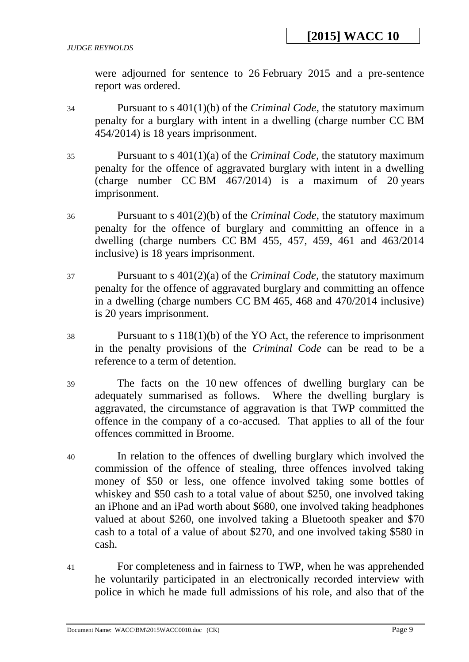were adjourned for sentence to 26 February 2015 and a pre-sentence report was ordered.

- 34 Pursuant to s 401(1)(b) of the *Criminal Code*, the statutory maximum penalty for a burglary with intent in a dwelling (charge number CC BM 454/2014) is 18 years imprisonment.
- 35 Pursuant to s 401(1)(a) of the *Criminal Code*, the statutory maximum penalty for the offence of aggravated burglary with intent in a dwelling (charge number CC BM 467/2014) is a maximum of 20 years imprisonment.
- 36 Pursuant to s 401(2)(b) of the *Criminal Code*, the statutory maximum penalty for the offence of burglary and committing an offence in a dwelling (charge numbers CC BM 455, 457, 459, 461 and 463/2014 inclusive) is 18 years imprisonment.
- 37 Pursuant to s 401(2)(a) of the *Criminal Code*, the statutory maximum penalty for the offence of aggravated burglary and committing an offence in a dwelling (charge numbers CC BM 465, 468 and 470/2014 inclusive) is 20 years imprisonment.
- 38 Pursuant to s 118(1)(b) of the YO Act, the reference to imprisonment in the penalty provisions of the *Criminal Code* can be read to be a reference to a term of detention.
- 39 The facts on the 10 new offences of dwelling burglary can be adequately summarised as follows. Where the dwelling burglary is aggravated, the circumstance of aggravation is that TWP committed the offence in the company of a co-accused. That applies to all of the four offences committed in Broome.
- 40 In relation to the offences of dwelling burglary which involved the commission of the offence of stealing, three offences involved taking money of \$50 or less, one offence involved taking some bottles of whiskey and \$50 cash to a total value of about \$250, one involved taking an iPhone and an iPad worth about \$680, one involved taking headphones valued at about \$260, one involved taking a Bluetooth speaker and \$70 cash to a total of a value of about \$270, and one involved taking \$580 in cash.
- 41 For completeness and in fairness to TWP, when he was apprehended he voluntarily participated in an electronically recorded interview with police in which he made full admissions of his role, and also that of the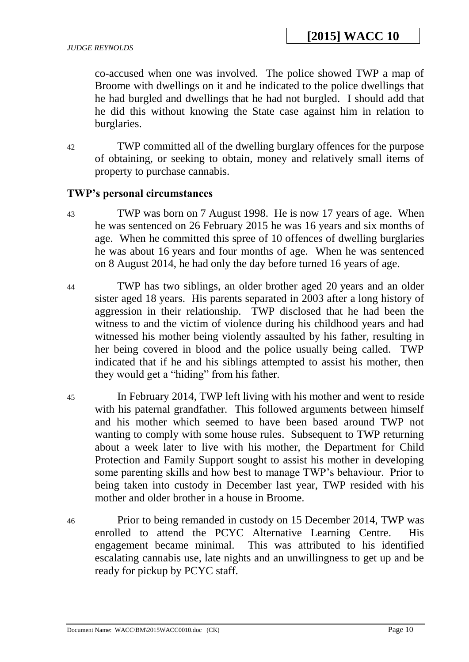co-accused when one was involved. The police showed TWP a map of Broome with dwellings on it and he indicated to the police dwellings that he had burgled and dwellings that he had not burgled. I should add that he did this without knowing the State case against him in relation to burglaries.

42 TWP committed all of the dwelling burglary offences for the purpose of obtaining, or seeking to obtain, money and relatively small items of property to purchase cannabis.

### **TWP's personal circumstances**

- 43 TWP was born on 7 August 1998. He is now 17 years of age. When he was sentenced on 26 February 2015 he was 16 years and six months of age. When he committed this spree of 10 offences of dwelling burglaries he was about 16 years and four months of age. When he was sentenced on 8 August 2014, he had only the day before turned 16 years of age.
- 44 TWP has two siblings, an older brother aged 20 years and an older sister aged 18 years. His parents separated in 2003 after a long history of aggression in their relationship. TWP disclosed that he had been the witness to and the victim of violence during his childhood years and had witnessed his mother being violently assaulted by his father, resulting in her being covered in blood and the police usually being called. TWP indicated that if he and his siblings attempted to assist his mother, then they would get a "hiding" from his father.
- 45 In February 2014, TWP left living with his mother and went to reside with his paternal grandfather. This followed arguments between himself and his mother which seemed to have been based around TWP not wanting to comply with some house rules. Subsequent to TWP returning about a week later to live with his mother, the Department for Child Protection and Family Support sought to assist his mother in developing some parenting skills and how best to manage TWP's behaviour. Prior to being taken into custody in December last year, TWP resided with his mother and older brother in a house in Broome.
- 46 Prior to being remanded in custody on 15 December 2014, TWP was enrolled to attend the PCYC Alternative Learning Centre. His engagement became minimal. This was attributed to his identified escalating cannabis use, late nights and an unwillingness to get up and be ready for pickup by PCYC staff.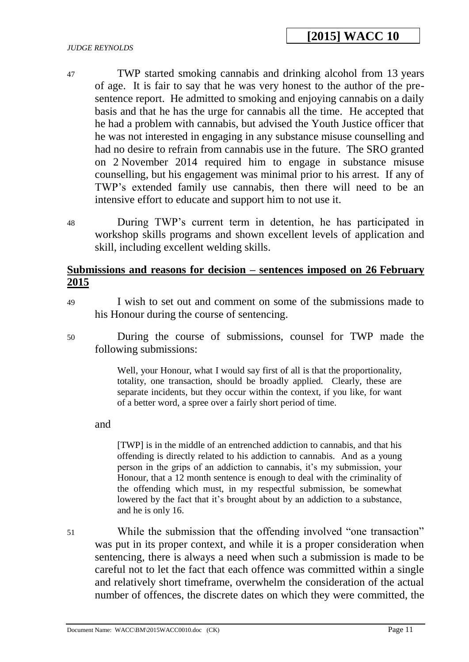#### *JUDGE REYNOLDS*

- 47 TWP started smoking cannabis and drinking alcohol from 13 years of age. It is fair to say that he was very honest to the author of the presentence report. He admitted to smoking and enjoying cannabis on a daily basis and that he has the urge for cannabis all the time. He accepted that he had a problem with cannabis, but advised the Youth Justice officer that he was not interested in engaging in any substance misuse counselling and had no desire to refrain from cannabis use in the future. The SRO granted on 2 November 2014 required him to engage in substance misuse counselling, but his engagement was minimal prior to his arrest. If any of TWP's extended family use cannabis, then there will need to be an intensive effort to educate and support him to not use it.
- 48 During TWP's current term in detention, he has participated in workshop skills programs and shown excellent levels of application and skill, including excellent welding skills.

### **Submissions and reasons for decision – sentences imposed on 26 February 2015**

- 49 I wish to set out and comment on some of the submissions made to his Honour during the course of sentencing.
- 50 During the course of submissions, counsel for TWP made the following submissions:

Well, your Honour, what I would say first of all is that the proportionality, totality, one transaction, should be broadly applied. Clearly, these are separate incidents, but they occur within the context, if you like, for want of a better word, a spree over a fairly short period of time.

and

[TWP] is in the middle of an entrenched addiction to cannabis, and that his offending is directly related to his addiction to cannabis. And as a young person in the grips of an addiction to cannabis, it's my submission, your Honour, that a 12 month sentence is enough to deal with the criminality of the offending which must, in my respectful submission, be somewhat lowered by the fact that it's brought about by an addiction to a substance, and he is only 16.

51 While the submission that the offending involved "one transaction" was put in its proper context, and while it is a proper consideration when sentencing, there is always a need when such a submission is made to be careful not to let the fact that each offence was committed within a single and relatively short timeframe, overwhelm the consideration of the actual number of offences, the discrete dates on which they were committed, the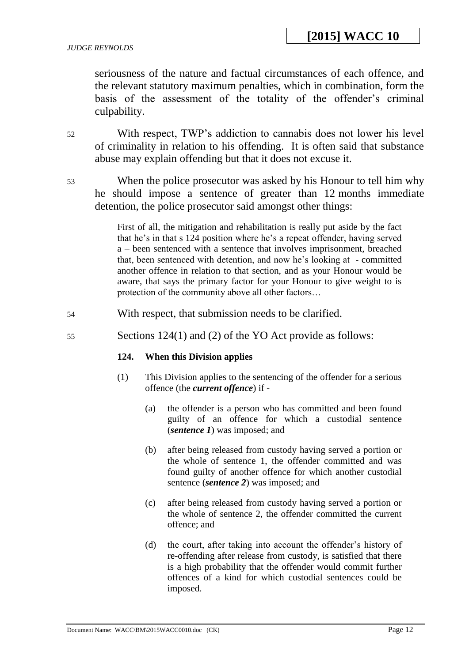seriousness of the nature and factual circumstances of each offence, and the relevant statutory maximum penalties, which in combination, form the basis of the assessment of the totality of the offender's criminal culpability.

- 52 With respect, TWP's addiction to cannabis does not lower his level of criminality in relation to his offending. It is often said that substance abuse may explain offending but that it does not excuse it.
- 53 When the police prosecutor was asked by his Honour to tell him why he should impose a sentence of greater than 12 months immediate detention, the police prosecutor said amongst other things:

First of all, the mitigation and rehabilitation is really put aside by the fact that he's in that s 124 position where he's a repeat offender, having served a – been sentenced with a sentence that involves imprisonment, breached that, been sentenced with detention, and now he's looking at - committed another offence in relation to that section, and as your Honour would be aware, that says the primary factor for your Honour to give weight to is protection of the community above all other factors…

- 54 With respect, that submission needs to be clarified.
- 55 Sections 124(1) and (2) of the YO Act provide as follows:

### **124. When this Division applies**

- (1) This Division applies to the sentencing of the offender for a serious offence (the *current offence*) if -
	- (a) the offender is a person who has committed and been found guilty of an offence for which a custodial sentence (*sentence 1*) was imposed; and
	- (b) after being released from custody having served a portion or the whole of sentence 1, the offender committed and was found guilty of another offence for which another custodial sentence (*sentence 2*) was imposed; and
	- (c) after being released from custody having served a portion or the whole of sentence 2, the offender committed the current offence; and
	- (d) the court, after taking into account the offender's history of re-offending after release from custody, is satisfied that there is a high probability that the offender would commit further offences of a kind for which custodial sentences could be imposed.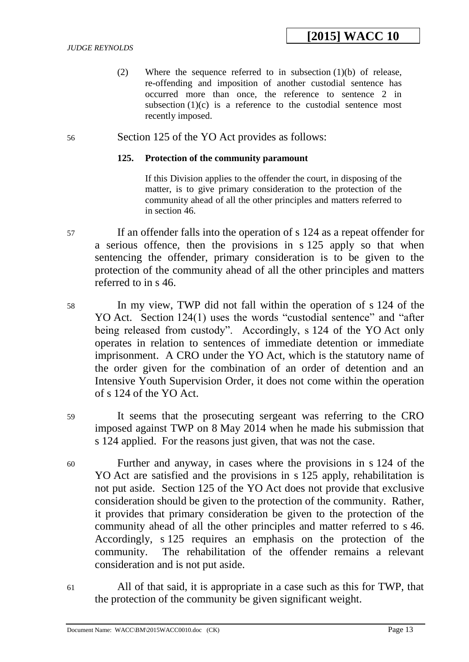(2) Where the sequence referred to in subsection (1)(b) of release, re-offending and imposition of another custodial sentence has occurred more than once, the reference to sentence 2 in subsection  $(1)(c)$  is a reference to the custodial sentence most recently imposed.

### 56 Section 125 of the YO Act provides as follows:

### **125. Protection of the community paramount**

If this Division applies to the offender the court, in disposing of the matter, is to give primary consideration to the protection of the community ahead of all the other principles and matters referred to in section 46.

- 57 If an offender falls into the operation of s 124 as a repeat offender for a serious offence, then the provisions in s 125 apply so that when sentencing the offender, primary consideration is to be given to the protection of the community ahead of all the other principles and matters referred to in s 46.
- 58 In my view, TWP did not fall within the operation of s 124 of the YO Act. Section 124(1) uses the words "custodial sentence" and "after being released from custody". Accordingly, s 124 of the YO Act only operates in relation to sentences of immediate detention or immediate imprisonment. A CRO under the YO Act, which is the statutory name of the order given for the combination of an order of detention and an Intensive Youth Supervision Order, it does not come within the operation of s 124 of the YO Act.
- 59 It seems that the prosecuting sergeant was referring to the CRO imposed against TWP on 8 May 2014 when he made his submission that s 124 applied. For the reasons just given, that was not the case.
- 60 Further and anyway, in cases where the provisions in s 124 of the YO Act are satisfied and the provisions in s 125 apply, rehabilitation is not put aside. Section 125 of the YO Act does not provide that exclusive consideration should be given to the protection of the community. Rather, it provides that primary consideration be given to the protection of the community ahead of all the other principles and matter referred to s 46. Accordingly, s 125 requires an emphasis on the protection of the community. The rehabilitation of the offender remains a relevant consideration and is not put aside.
- 61 All of that said, it is appropriate in a case such as this for TWP, that the protection of the community be given significant weight.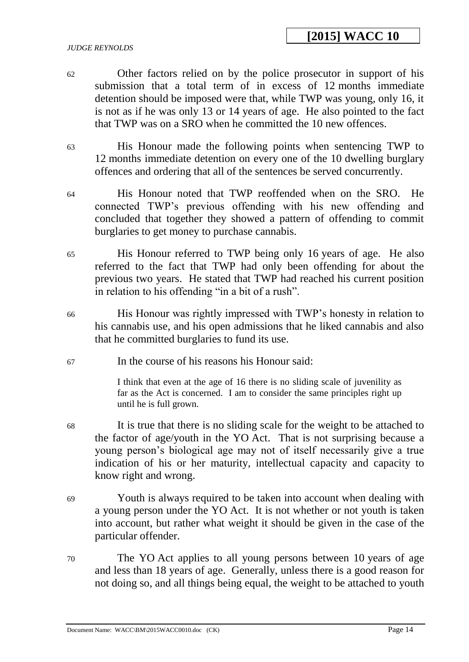# **[2015] WACC 10**

#### *JUDGE REYNOLDS*

- 62 Other factors relied on by the police prosecutor in support of his submission that a total term of in excess of 12 months immediate detention should be imposed were that, while TWP was young, only 16, it is not as if he was only 13 or 14 years of age. He also pointed to the fact that TWP was on a SRO when he committed the 10 new offences.
- 63 His Honour made the following points when sentencing TWP to 12 months immediate detention on every one of the 10 dwelling burglary offences and ordering that all of the sentences be served concurrently.
- 64 His Honour noted that TWP reoffended when on the SRO. He connected TWP's previous offending with his new offending and concluded that together they showed a pattern of offending to commit burglaries to get money to purchase cannabis.
- 65 His Honour referred to TWP being only 16 years of age. He also referred to the fact that TWP had only been offending for about the previous two years. He stated that TWP had reached his current position in relation to his offending "in a bit of a rush".
- 66 His Honour was rightly impressed with TWP's honesty in relation to his cannabis use, and his open admissions that he liked cannabis and also that he committed burglaries to fund its use.
- 67 In the course of his reasons his Honour said:

I think that even at the age of 16 there is no sliding scale of juvenility as far as the Act is concerned. I am to consider the same principles right up until he is full grown.

- 68 It is true that there is no sliding scale for the weight to be attached to the factor of age/youth in the YO Act. That is not surprising because a young person's biological age may not of itself necessarily give a true indication of his or her maturity, intellectual capacity and capacity to know right and wrong.
- 69 Youth is always required to be taken into account when dealing with a young person under the YO Act. It is not whether or not youth is taken into account, but rather what weight it should be given in the case of the particular offender.
- 70 The YO Act applies to all young persons between 10 years of age and less than 18 years of age. Generally, unless there is a good reason for not doing so, and all things being equal, the weight to be attached to youth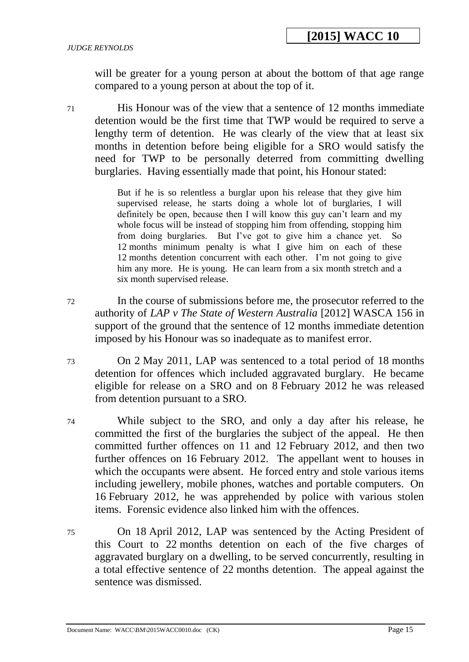will be greater for a young person at about the bottom of that age range compared to a young person at about the top of it.

71 His Honour was of the view that a sentence of 12 months immediate detention would be the first time that TWP would be required to serve a lengthy term of detention. He was clearly of the view that at least six months in detention before being eligible for a SRO would satisfy the need for TWP to be personally deterred from committing dwelling burglaries. Having essentially made that point, his Honour stated:

> But if he is so relentless a burglar upon his release that they give him supervised release, he starts doing a whole lot of burglaries, I will definitely be open, because then I will know this guy can't learn and my whole focus will be instead of stopping him from offending, stopping him from doing burglaries. But I've got to give him a chance yet. So 12 months minimum penalty is what I give him on each of these 12 months detention concurrent with each other. I'm not going to give him any more. He is young. He can learn from a six month stretch and a six month supervised release.

- 72 In the course of submissions before me, the prosecutor referred to the authority of *LAP v The State of Western Australia* [2012] WASCA 156 in support of the ground that the sentence of 12 months immediate detention imposed by his Honour was so inadequate as to manifest error.
- 73 On 2 May 2011, LAP was sentenced to a total period of 18 months detention for offences which included aggravated burglary. He became eligible for release on a SRO and on 8 February 2012 he was released from detention pursuant to a SRO.
- 74 While subject to the SRO, and only a day after his release, he committed the first of the burglaries the subject of the appeal. He then committed further offences on 11 and 12 February 2012, and then two further offences on 16 February 2012. The appellant went to houses in which the occupants were absent. He forced entry and stole various items including jewellery, mobile phones, watches and portable computers. On 16 February 2012, he was apprehended by police with various stolen items. Forensic evidence also linked him with the offences.
- 75 On 18 April 2012, LAP was sentenced by the Acting President of this Court to 22 months detention on each of the five charges of aggravated burglary on a dwelling, to be served concurrently, resulting in a total effective sentence of 22 months detention. The appeal against the sentence was dismissed.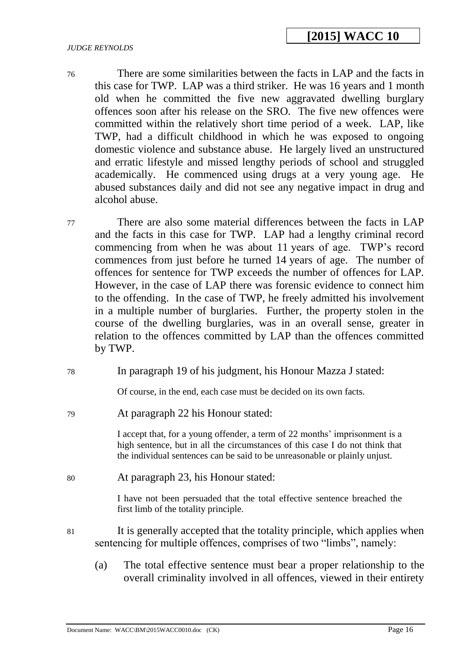- 76 There are some similarities between the facts in LAP and the facts in this case for TWP. LAP was a third striker. He was 16 years and 1 month old when he committed the five new aggravated dwelling burglary offences soon after his release on the SRO. The five new offences were committed within the relatively short time period of a week. LAP, like TWP, had a difficult childhood in which he was exposed to ongoing domestic violence and substance abuse. He largely lived an unstructured and erratic lifestyle and missed lengthy periods of school and struggled academically. He commenced using drugs at a very young age. He abused substances daily and did not see any negative impact in drug and alcohol abuse.
- 77 There are also some material differences between the facts in LAP and the facts in this case for TWP. LAP had a lengthy criminal record commencing from when he was about 11 years of age. TWP's record commences from just before he turned 14 years of age. The number of offences for sentence for TWP exceeds the number of offences for LAP. However, in the case of LAP there was forensic evidence to connect him to the offending. In the case of TWP, he freely admitted his involvement in a multiple number of burglaries. Further, the property stolen in the course of the dwelling burglaries, was in an overall sense, greater in relation to the offences committed by LAP than the offences committed by TWP.
- 78 In paragraph 19 of his judgment, his Honour Mazza J stated:

Of course, in the end, each case must be decided on its own facts.

79 At paragraph 22 his Honour stated:

I accept that, for a young offender, a term of 22 months' imprisonment is a high sentence, but in all the circumstances of this case I do not think that the individual sentences can be said to be unreasonable or plainly unjust.

80 At paragraph 23, his Honour stated:

I have not been persuaded that the total effective sentence breached the first limb of the totality principle.

- 81 It is generally accepted that the totality principle, which applies when sentencing for multiple offences, comprises of two "limbs", namely:
	- (a) The total effective sentence must bear a proper relationship to the overall criminality involved in all offences, viewed in their entirety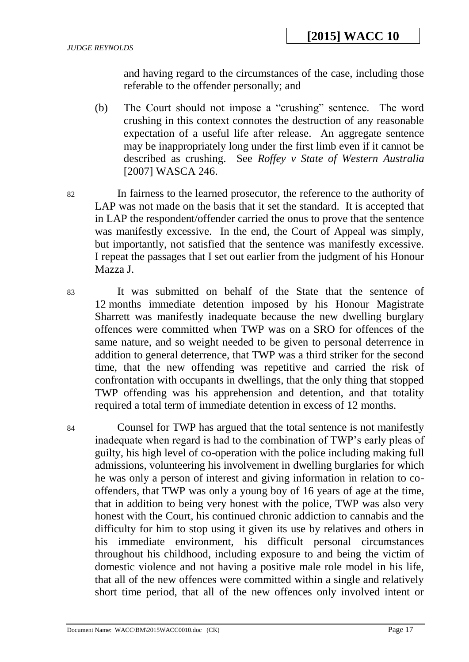and having regard to the circumstances of the case, including those referable to the offender personally; and

- (b) The Court should not impose a "crushing" sentence. The word crushing in this context connotes the destruction of any reasonable expectation of a useful life after release. An aggregate sentence may be inappropriately long under the first limb even if it cannot be described as crushing. See *Roffey v State of Western Australia* [2007] WASCA 246.
- 82 In fairness to the learned prosecutor, the reference to the authority of LAP was not made on the basis that it set the standard. It is accepted that in LAP the respondent/offender carried the onus to prove that the sentence was manifestly excessive. In the end, the Court of Appeal was simply, but importantly, not satisfied that the sentence was manifestly excessive. I repeat the passages that I set out earlier from the judgment of his Honour Mazza J.
- 83 It was submitted on behalf of the State that the sentence of 12 months immediate detention imposed by his Honour Magistrate Sharrett was manifestly inadequate because the new dwelling burglary offences were committed when TWP was on a SRO for offences of the same nature, and so weight needed to be given to personal deterrence in addition to general deterrence, that TWP was a third striker for the second time, that the new offending was repetitive and carried the risk of confrontation with occupants in dwellings, that the only thing that stopped TWP offending was his apprehension and detention, and that totality required a total term of immediate detention in excess of 12 months.

84 Counsel for TWP has argued that the total sentence is not manifestly inadequate when regard is had to the combination of TWP's early pleas of guilty, his high level of co-operation with the police including making full admissions, volunteering his involvement in dwelling burglaries for which he was only a person of interest and giving information in relation to cooffenders, that TWP was only a young boy of 16 years of age at the time, that in addition to being very honest with the police, TWP was also very honest with the Court, his continued chronic addiction to cannabis and the difficulty for him to stop using it given its use by relatives and others in his immediate environment, his difficult personal circumstances throughout his childhood, including exposure to and being the victim of domestic violence and not having a positive male role model in his life, that all of the new offences were committed within a single and relatively short time period, that all of the new offences only involved intent or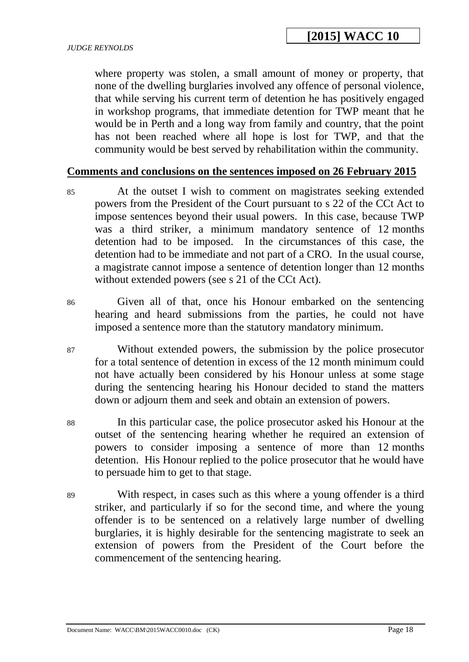where property was stolen, a small amount of money or property, that none of the dwelling burglaries involved any offence of personal violence, that while serving his current term of detention he has positively engaged in workshop programs, that immediate detention for TWP meant that he would be in Perth and a long way from family and country, that the point has not been reached where all hope is lost for TWP, and that the community would be best served by rehabilitation within the community.

### **Comments and conclusions on the sentences imposed on 26 February 2015**

- 85 At the outset I wish to comment on magistrates seeking extended powers from the President of the Court pursuant to s 22 of the CCt Act to impose sentences beyond their usual powers. In this case, because TWP was a third striker, a minimum mandatory sentence of 12 months detention had to be imposed. In the circumstances of this case, the detention had to be immediate and not part of a CRO. In the usual course, a magistrate cannot impose a sentence of detention longer than 12 months without extended powers (see s 21 of the CCt Act).
- 86 Given all of that, once his Honour embarked on the sentencing hearing and heard submissions from the parties, he could not have imposed a sentence more than the statutory mandatory minimum.
- 87 Without extended powers, the submission by the police prosecutor for a total sentence of detention in excess of the 12 month minimum could not have actually been considered by his Honour unless at some stage during the sentencing hearing his Honour decided to stand the matters down or adjourn them and seek and obtain an extension of powers.
- 88 In this particular case, the police prosecutor asked his Honour at the outset of the sentencing hearing whether he required an extension of powers to consider imposing a sentence of more than 12 months detention. His Honour replied to the police prosecutor that he would have to persuade him to get to that stage.
- 89 With respect, in cases such as this where a young offender is a third striker, and particularly if so for the second time, and where the young offender is to be sentenced on a relatively large number of dwelling burglaries, it is highly desirable for the sentencing magistrate to seek an extension of powers from the President of the Court before the commencement of the sentencing hearing.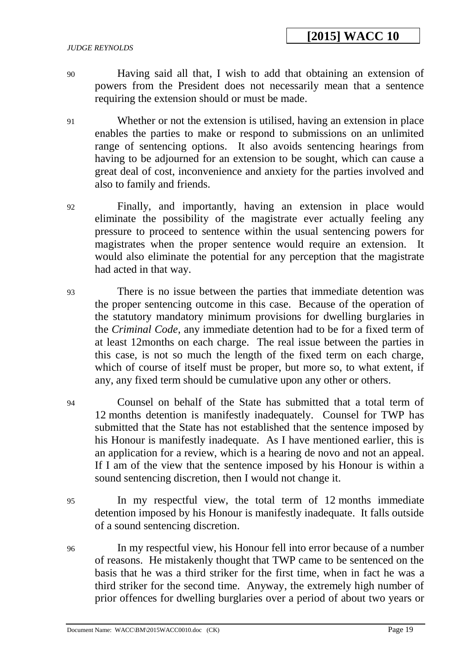#### *JUDGE REYNOLDS*

- 90 Having said all that, I wish to add that obtaining an extension of powers from the President does not necessarily mean that a sentence requiring the extension should or must be made.
- 91 Whether or not the extension is utilised, having an extension in place enables the parties to make or respond to submissions on an unlimited range of sentencing options. It also avoids sentencing hearings from having to be adjourned for an extension to be sought, which can cause a great deal of cost, inconvenience and anxiety for the parties involved and also to family and friends.
- 92 Finally, and importantly, having an extension in place would eliminate the possibility of the magistrate ever actually feeling any pressure to proceed to sentence within the usual sentencing powers for magistrates when the proper sentence would require an extension. It would also eliminate the potential for any perception that the magistrate had acted in that way.
- 93 There is no issue between the parties that immediate detention was the proper sentencing outcome in this case. Because of the operation of the statutory mandatory minimum provisions for dwelling burglaries in the *Criminal Code*, any immediate detention had to be for a fixed term of at least 12months on each charge. The real issue between the parties in this case, is not so much the length of the fixed term on each charge, which of course of itself must be proper, but more so, to what extent, if any, any fixed term should be cumulative upon any other or others.
- 94 Counsel on behalf of the State has submitted that a total term of 12 months detention is manifestly inadequately. Counsel for TWP has submitted that the State has not established that the sentence imposed by his Honour is manifestly inadequate. As I have mentioned earlier, this is an application for a review, which is a hearing de novo and not an appeal. If I am of the view that the sentence imposed by his Honour is within a sound sentencing discretion, then I would not change it.
- 95 In my respectful view, the total term of 12 months immediate detention imposed by his Honour is manifestly inadequate. It falls outside of a sound sentencing discretion.
- 96 In my respectful view, his Honour fell into error because of a number of reasons. He mistakenly thought that TWP came to be sentenced on the basis that he was a third striker for the first time, when in fact he was a third striker for the second time. Anyway, the extremely high number of prior offences for dwelling burglaries over a period of about two years or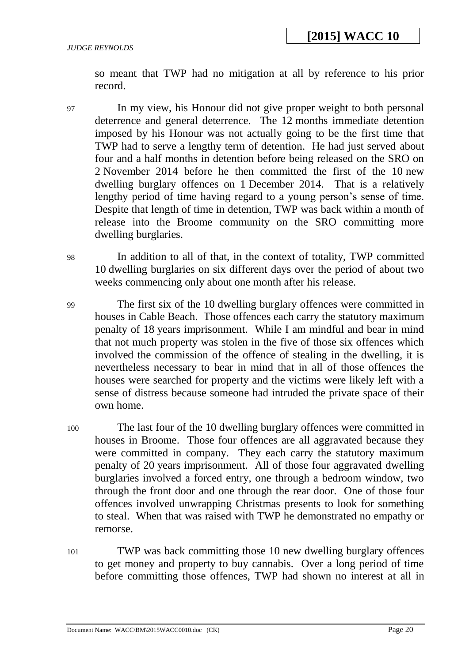so meant that TWP had no mitigation at all by reference to his prior record.

- 97 In my view, his Honour did not give proper weight to both personal deterrence and general deterrence. The 12 months immediate detention imposed by his Honour was not actually going to be the first time that TWP had to serve a lengthy term of detention. He had just served about four and a half months in detention before being released on the SRO on 2 November 2014 before he then committed the first of the 10 new dwelling burglary offences on 1 December 2014. That is a relatively lengthy period of time having regard to a young person's sense of time. Despite that length of time in detention, TWP was back within a month of release into the Broome community on the SRO committing more dwelling burglaries.
- 98 In addition to all of that, in the context of totality, TWP committed 10 dwelling burglaries on six different days over the period of about two weeks commencing only about one month after his release.
- 99 The first six of the 10 dwelling burglary offences were committed in houses in Cable Beach. Those offences each carry the statutory maximum penalty of 18 years imprisonment. While I am mindful and bear in mind that not much property was stolen in the five of those six offences which involved the commission of the offence of stealing in the dwelling, it is nevertheless necessary to bear in mind that in all of those offences the houses were searched for property and the victims were likely left with a sense of distress because someone had intruded the private space of their own home.
- 100 The last four of the 10 dwelling burglary offences were committed in houses in Broome. Those four offences are all aggravated because they were committed in company. They each carry the statutory maximum penalty of 20 years imprisonment. All of those four aggravated dwelling burglaries involved a forced entry, one through a bedroom window, two through the front door and one through the rear door. One of those four offences involved unwrapping Christmas presents to look for something to steal. When that was raised with TWP he demonstrated no empathy or remorse.
- 101 TWP was back committing those 10 new dwelling burglary offences to get money and property to buy cannabis. Over a long period of time before committing those offences, TWP had shown no interest at all in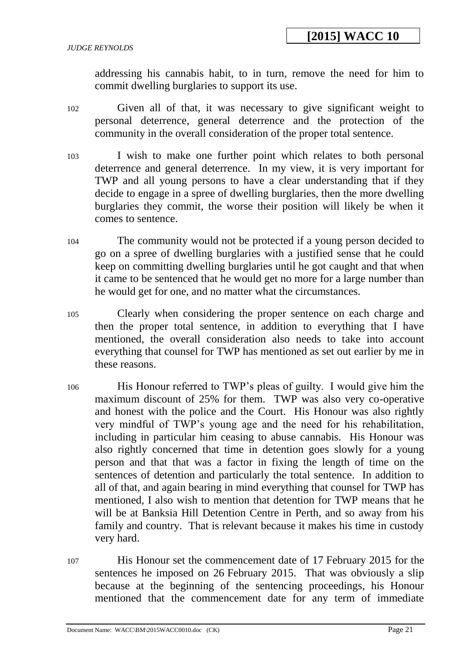addressing his cannabis habit, to in turn, remove the need for him to commit dwelling burglaries to support its use.

- 102 Given all of that, it was necessary to give significant weight to personal deterrence, general deterrence and the protection of the community in the overall consideration of the proper total sentence.
- 103 I wish to make one further point which relates to both personal deterrence and general deterrence. In my view, it is very important for TWP and all young persons to have a clear understanding that if they decide to engage in a spree of dwelling burglaries, then the more dwelling burglaries they commit, the worse their position will likely be when it comes to sentence.
- 104 The community would not be protected if a young person decided to go on a spree of dwelling burglaries with a justified sense that he could keep on committing dwelling burglaries until he got caught and that when it came to be sentenced that he would get no more for a large number than he would get for one, and no matter what the circumstances.
- 105 Clearly when considering the proper sentence on each charge and then the proper total sentence, in addition to everything that I have mentioned, the overall consideration also needs to take into account everything that counsel for TWP has mentioned as set out earlier by me in these reasons.
- 106 His Honour referred to TWP's pleas of guilty. I would give him the maximum discount of 25% for them. TWP was also very co-operative and honest with the police and the Court. His Honour was also rightly very mindful of TWP's young age and the need for his rehabilitation, including in particular him ceasing to abuse cannabis. His Honour was also rightly concerned that time in detention goes slowly for a young person and that that was a factor in fixing the length of time on the sentences of detention and particularly the total sentence. In addition to all of that, and again bearing in mind everything that counsel for TWP has mentioned, I also wish to mention that detention for TWP means that he will be at Banksia Hill Detention Centre in Perth, and so away from his family and country. That is relevant because it makes his time in custody very hard.
- 107 His Honour set the commencement date of 17 February 2015 for the sentences he imposed on 26 February 2015. That was obviously a slip because at the beginning of the sentencing proceedings, his Honour mentioned that the commencement date for any term of immediate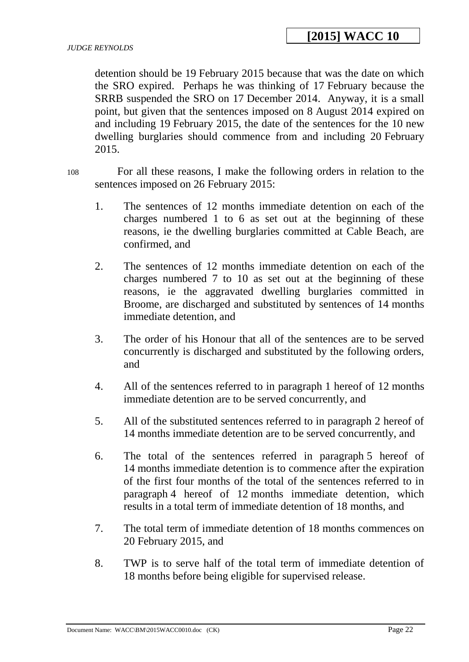detention should be 19 February 2015 because that was the date on which the SRO expired. Perhaps he was thinking of 17 February because the SRRB suspended the SRO on 17 December 2014. Anyway, it is a small point, but given that the sentences imposed on 8 August 2014 expired on and including 19 February 2015, the date of the sentences for the 10 new dwelling burglaries should commence from and including 20 February 2015.

108 For all these reasons, I make the following orders in relation to the sentences imposed on 26 February 2015:

- 1. The sentences of 12 months immediate detention on each of the charges numbered 1 to 6 as set out at the beginning of these reasons, ie the dwelling burglaries committed at Cable Beach, are confirmed, and
- 2. The sentences of 12 months immediate detention on each of the charges numbered 7 to 10 as set out at the beginning of these reasons, ie the aggravated dwelling burglaries committed in Broome, are discharged and substituted by sentences of 14 months immediate detention, and
- 3. The order of his Honour that all of the sentences are to be served concurrently is discharged and substituted by the following orders, and
- 4. All of the sentences referred to in paragraph 1 hereof of 12 months immediate detention are to be served concurrently, and
- 5. All of the substituted sentences referred to in paragraph 2 hereof of 14 months immediate detention are to be served concurrently, and
- 6. The total of the sentences referred in paragraph 5 hereof of 14 months immediate detention is to commence after the expiration of the first four months of the total of the sentences referred to in paragraph 4 hereof of 12 months immediate detention, which results in a total term of immediate detention of 18 months, and
- 7. The total term of immediate detention of 18 months commences on 20 February 2015, and
- 8. TWP is to serve half of the total term of immediate detention of 18 months before being eligible for supervised release.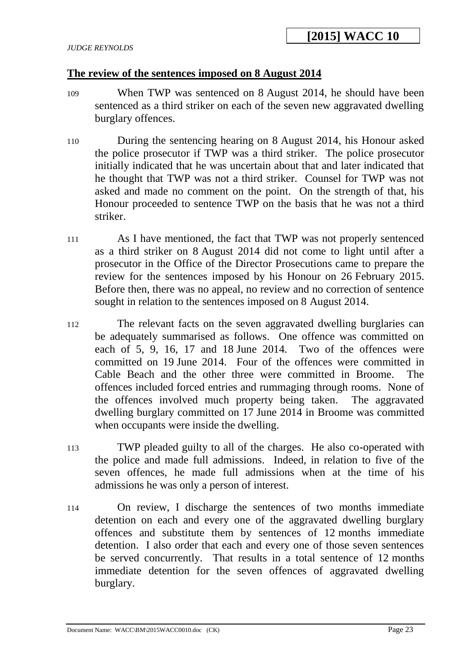## **The review of the sentences imposed on 8 August 2014**

- 109 When TWP was sentenced on 8 August 2014, he should have been sentenced as a third striker on each of the seven new aggravated dwelling burglary offences.
- 110 During the sentencing hearing on 8 August 2014, his Honour asked the police prosecutor if TWP was a third striker. The police prosecutor initially indicated that he was uncertain about that and later indicated that he thought that TWP was not a third striker. Counsel for TWP was not asked and made no comment on the point. On the strength of that, his Honour proceeded to sentence TWP on the basis that he was not a third striker.
- 111 As I have mentioned, the fact that TWP was not properly sentenced as a third striker on 8 August 2014 did not come to light until after a prosecutor in the Office of the Director Prosecutions came to prepare the review for the sentences imposed by his Honour on 26 February 2015. Before then, there was no appeal, no review and no correction of sentence sought in relation to the sentences imposed on 8 August 2014.
- 112 The relevant facts on the seven aggravated dwelling burglaries can be adequately summarised as follows. One offence was committed on each of 5, 9, 16, 17 and 18 June 2014. Two of the offences were committed on 19 June 2014. Four of the offences were committed in Cable Beach and the other three were committed in Broome. The offences included forced entries and rummaging through rooms. None of the offences involved much property being taken. The aggravated dwelling burglary committed on 17 June 2014 in Broome was committed when occupants were inside the dwelling.
- 113 TWP pleaded guilty to all of the charges. He also co-operated with the police and made full admissions. Indeed, in relation to five of the seven offences, he made full admissions when at the time of his admissions he was only a person of interest.
- 114 On review, I discharge the sentences of two months immediate detention on each and every one of the aggravated dwelling burglary offences and substitute them by sentences of 12 months immediate detention. I also order that each and every one of those seven sentences be served concurrently. That results in a total sentence of 12 months immediate detention for the seven offences of aggravated dwelling burglary.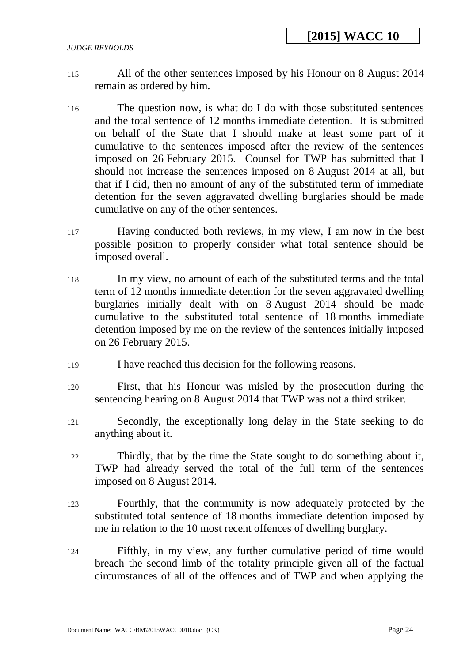- 115 All of the other sentences imposed by his Honour on 8 August 2014 remain as ordered by him.
- 116 The question now, is what do I do with those substituted sentences and the total sentence of 12 months immediate detention. It is submitted on behalf of the State that I should make at least some part of it cumulative to the sentences imposed after the review of the sentences imposed on 26 February 2015. Counsel for TWP has submitted that I should not increase the sentences imposed on 8 August 2014 at all, but that if I did, then no amount of any of the substituted term of immediate detention for the seven aggravated dwelling burglaries should be made cumulative on any of the other sentences.
- 117 Having conducted both reviews, in my view, I am now in the best possible position to properly consider what total sentence should be imposed overall.
- 118 In my view, no amount of each of the substituted terms and the total term of 12 months immediate detention for the seven aggravated dwelling burglaries initially dealt with on 8 August 2014 should be made cumulative to the substituted total sentence of 18 months immediate detention imposed by me on the review of the sentences initially imposed on 26 February 2015.
- 119 I have reached this decision for the following reasons.
- 120 First, that his Honour was misled by the prosecution during the sentencing hearing on 8 August 2014 that TWP was not a third striker.
- 121 Secondly, the exceptionally long delay in the State seeking to do anything about it.
- 122 Thirdly, that by the time the State sought to do something about it, TWP had already served the total of the full term of the sentences imposed on 8 August 2014.
- 123 Fourthly, that the community is now adequately protected by the substituted total sentence of 18 months immediate detention imposed by me in relation to the 10 most recent offences of dwelling burglary.
- 124 Fifthly, in my view, any further cumulative period of time would breach the second limb of the totality principle given all of the factual circumstances of all of the offences and of TWP and when applying the